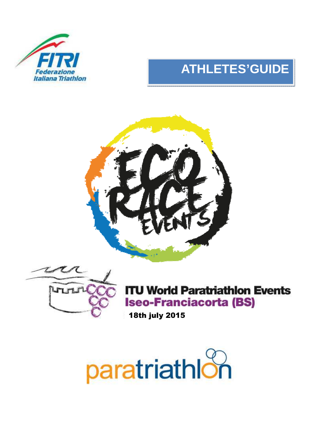

# **ATHLETES'GUIDE**





**ITU World Paratriathlon Events Iseo-Franciacorta (BS)** 

18th july 2015

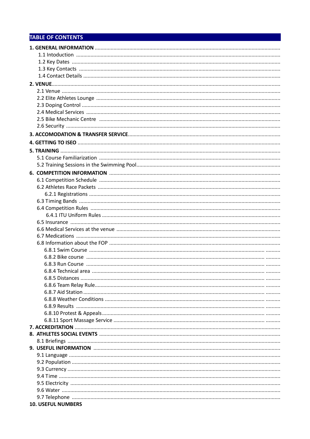# **TABLE OF CONTENTS**

| <b>10. USEFUL NUMBERS</b> |
|---------------------------|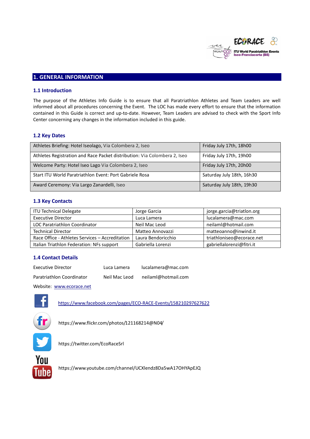

# **1. GENERAL INFORMATION**

# **1.1 Introduction**

The purpose of the Athletes Info Guide is to ensure that all Paratriathlon Athletes and Team Leaders are well informed about all procedures concerning the Event. The LOC has made every effort to ensure that the information contained in this Guide is correct and up-to-date. However, Team Leaders are advised to check with the Sport Info Center concerning any changes in the information included in this guide.

# **1.2 Key Dates**

| Athletes Briefing: Hotel Iseolago, Via Colombera 2, Iseo                  | Friday July 17th, 18h00   |
|---------------------------------------------------------------------------|---------------------------|
| Athletes Registration and Race Packet distribution: Via Colombera 2, Iseo | Friday July 17th, 19h00   |
| Welcome Party: Hotel Iseo Lago Via Colombera 2, Iseo                      | Friday July 17th, 20h00   |
| Start ITU World Paratriathlon Event: Port Gabriele Rosa                   | Saturday July 18th, 16h30 |
| Award Ceremony: Via Largo Zanardelli, Iseo                                | Saturday July 18th, 19h30 |

## **1.3 Key Contacts**

| <b>ITU Technical Delegate</b>                   | Jorge Garcia       | jorge.garcia@triatlon.org |
|-------------------------------------------------|--------------------|---------------------------|
| <b>Executive Director</b>                       | Luca Lamera        | lucalamera@mac.com        |
| LOC Paratriathlon Coordinator                   | Neil Mac Leod      | neilaml@hotmail.com       |
| <b>Technical Director</b>                       | Matteo Annovazzi   | matteoanno@inwind.it      |
| Race Office - Athletes Services - Accreditation | Laura Bendoricchio | triathloniseo@ecorace.net |
| Italian Triathlon Federation: NFs support       | Gabriella Lorenzi  | gabriellalorenzi@fitri.it |

# **1.4 Contact Details**

| Executive Director        | Luca Lamera   | lucalamera@mac.com  |
|---------------------------|---------------|---------------------|
| Paratriathlon Coordinator | Neil Mac Leod | neilaml@hotmail.com |

Website: www.ecorace.net



https://www.facebook.com/pages/ECO-RACE-Events/158210297627622



https://www.flickr.com/photos/121168214@N04/



https://twitter.com/EcoRaceSrl



https://www.youtube.com/channel/UCXlendz8Da5wA17OHYApEJQ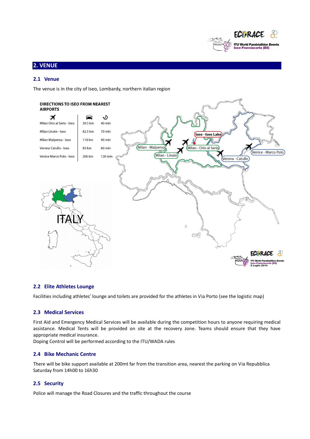

# **2. VENUE**

# **2.1 Venue**

The venue is in the city of Iseo, Lombardy, northern italian region



# **2.2 Elite Athletes Lounge**

Facilities including athletes' lounge and toilets are provided for the athletes in Via Porto (see the logistic map)

# **2.3 Medical Services**

First Aid and Emergency Medical Services will be available during the competition hours to anyone requiring medical assistance. Medical Tents will be provided on site at the recovery zone. Teams should ensure that they have appropriate medical insurance.

Doping Control will be performed according to the ITU/WADA rules

## **2.4 Bike Mechanic Centre**

There will be bike support available at 200mt far from the transition area, nearest the parking on Via Repubblica Saturday from 14h00 to 16h30

# **2.5 Security**

Police will manage the Road Closures and the traffic throughout the course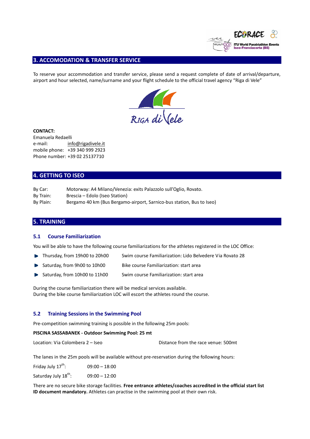

# **3. ACCOMODATION & TRANSFER SERVICE**

To reserve your accommodation and transfer service, please send a request complete of date of arrival/departure, airport and hour selected, name/surname and your flight schedule to the official travel agency "Riga di Vele"



#### **CONTACT:**

Emanuela Redaelli e-mail: info@rigadivele.it mobile phone: +39 340 999 2923 Phone number: +39 02 25137710

# **4. GETTING TO ISEO**

| By Car:   | Motorway: A4 Milano/Venezia: exits Palazzolo sull'Oglio, Rovato.      |
|-----------|-----------------------------------------------------------------------|
| By Train: | Brescia – Edolo (Iseo Station)                                        |
| By Plain: | Bergamo 40 km (Bus Bergamo-airport, Sarnico-bus station, Bus to Iseo) |

# **5. TRAINING**

#### **5.1 Course Familiarization**

You will be able to have the following course familiarizations for the athletes registered in the LOC Office:

- Thursday, from 19h00 to 20h00 Swim course Familiarization: Lido Belvedere Via Rovato 28
- Saturday, from 9h00 to 10h00 Bike course Familiarization: start area Þ
- Saturday, from 10h00 to 11h00 Swim course Familiarization: start area

During the course familiarization there will be medical services available. During the bike course familiarization LOC will escort the athletes round the course.

#### **5.2 Training Sessions in the Swimming Pool**

Pre-competition swimming training is possible in the following 25m pools:

#### **PISCINA SASSABANEK - Outdoor Swimming Pool: 25 mt**

| Distance from the race venue: 500mt |
|-------------------------------------|
|                                     |

The lanes in the 25m pools will be available without pre-reservation during the following hours:

Friday July  $17^{th}$ : 09:00 – 18:00

Saturday July  $18^{th}$ : 09:00 – 12:00

There are no secure bike storage facilities. **Free entrance athletes/coaches accredited in the official start list ID document mandatory.** Athletes can practise in the swimming pool at their own risk.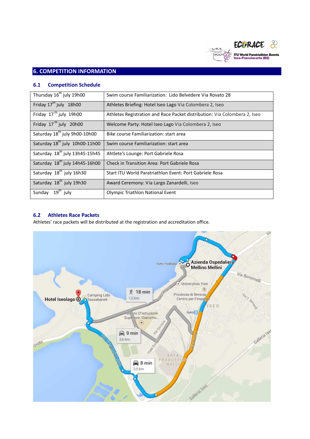

# **6.1 Competition Schedule**

| Thursday 16 <sup>th</sup> july 19h00       | Swim course Familiarization: Lido Belvedere Via Rovato 28                 |
|--------------------------------------------|---------------------------------------------------------------------------|
| Friday 17 <sup>th</sup> july 18h00         | Athletes Briefing: Hotel Iseo Lago Via Colombera 2, Iseo                  |
| Friday 17 <sup>th</sup> july 19h00         | Athletes Registration and Race Packet distribution: Via Colombera 2, Iseo |
| Friday 17 <sup>th</sup> july 20h00         | Welcome Party: Hotel Iseo Lago Via Colombera 2, Iseo                      |
| Saturday 18 <sup>th</sup> july 9h00-10h00  | Bike course Familiarization: start area                                   |
| Saturday 18th july 10h00-11h00             | Swim course Familiarization: start area                                   |
| Saturday 18 <sup>th</sup> july 13h45-15h45 | Ahtlete's Lounge: Port Gabriele Rosa                                      |
| Saturday 18 <sup>th</sup> july 14h45-16h00 | <b>Check in Transition Area: Port Gabriele Rosa</b>                       |
| Saturday 18 <sup>th</sup> july 16h30       | Start ITU World Paratriathlon Event: Port Gabriele Rosa                   |
| Saturday 18 <sup>th</sup> july 19h30       | Award Ceremony: Via Largo Zanardelli, Iseo                                |
| Sunday 19 <sup>th</sup> july               | Olympic Triathlon National Event                                          |

# **6.2 Athletes Race Packets**

Athletes' race packets will be distributed at the registration and accreditation office.

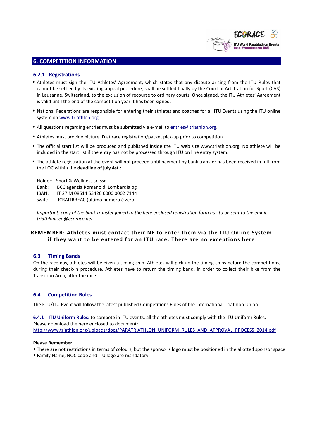

## **6.2.1 Registrations**

- Athletes must sign the ITU Athletes' Agreement, which states that any dispute arising from the ITU Rules that cannot be settled by its existing appeal procedure, shall be settled finally by the Court of Arbitration for Sport (CAS) in Lausanne, Switzerland, to the exclusion of recourse to ordinary courts. Once signed, the ITU Athletes' Agreement is valid until the end of the competition year it has been signed.
- National Federations are responsible for entering their athletes and coaches for all ITU Events using the ITU online system on www.triathlon.org.
- All questions regarding entries must be submitted via e-mail to entries@triathlon.org.
- Athletes must provide picture ID at race registration/packet pick-up prior to competition
- The official start list will be produced and published inside the ITU web site www.triathlon.org. No athlete will be included in the start list if the entry has not be processed through ITU on line entry system.
- The athlete registration at the event will not proceed until payment by bank transfer has been received in full from the LOC within the **deadline of july 4st :**

Holder: Sport & Wellness srl ssd Bank: BCC agenzia Romano di Lombardia bg IBAN: IT 27 M 08514 53420 0000 0002 7144 swift: ICRAITRREA0 (ultimo numero è zero

*Important: copy of the bank transfer joined to the here enclosed registration form has to be sent to the email: triathloniseo@ecorace.net* 

# **REMEMBER: Athletes must contact their NF to enter them via the ITU Online System if they want to be entered for an ITU race. There are no exceptions here**

#### **6.3 Timing Bands**

On the race day, athletes will be given a timing chip. Athletes will pick up the timing chips before the competitions, during their check-in procedure. Athletes have to return the timing band, in order to collect their bike from the Transition Area, after the race.

# **6.4 Competition Rules**

The ETU/ITU Event will follow the latest published Competitions Rules of the International Triathlon Union.

**6.4.1 ITU Uniform Rules:** to compete in ITU events, all the athletes must comply with the ITU Uniform Rules. Please download the here enclosed to document: http://www.triathlon.org/uploads/docs/PARATRIATHLON\_UNIFORM\_RULES\_AND\_APPROVAL\_PROCESS\_2014.pdf

#### **Please Remember**

- There are not restrictions in terms of colours, but the sponsor's logo must be positioned in the allotted sponsor space
- Family Name, NOC code and ITU logo are mandatory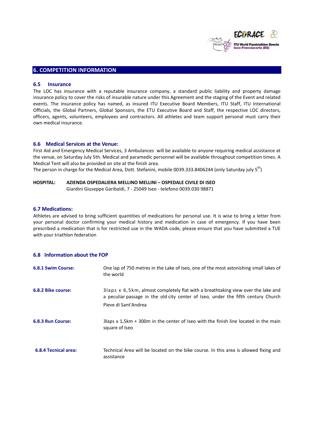

#### **6.5 Insurance**

The LOC has insurance with a reputable insurance company, a standard public liability and property damage insurance policy to cover the risks of insurable nature under this Agreement and the staging of the Event and related events. The insurance policy has named, as insured ITU Executive Board Members, ITU Staff, ITU International Officials, the Global Partners, Global Sponsors, the ETU Executive Board and Staff, the respective LOC directors, officers, agents, volunteers, employees and contractors. All athletes and team support personal must carry their own medical insurance.

#### **6.6 Medical Services at the Venue:**

First Aid and Emergency Medical Services, 3 Ambulances will be available to anyone requiring medical assistance at the venue, on Saturday July 5th. Medical and paramedic personnel will be available throughout competition times. A Medical Tent will also be provided on site at the finish area.

The person in charge for the Medical Area, Dott. Stefanini, mobile 0039.333.8406244 (only Saturday july 5<sup>th</sup>)

#### **HOSPITAL: AZIENDA OSPEDALIERA MELLINO MELLINI – OSPEDALE CIVILE DI ISEO**

Giardini Giuseppe Garibaldi, 7 - 25049 Iseo - telefono 0039.030 98871

#### **6.7 Medications:**

Athletes are advised to bring sufficient quantities of medications for personal use. It is wise to bring a letter from your personal doctor confirming your medical history and medication in case of emergency. If you have been prescribed a medication that is for restricted use in the WADA code, please ensure that you have submitted a TUE with your triathlon federation

# **6.8 Information about the FOP**

| <b>6.8.1 Swim Course:</b>   | One lap of 750 metres in the Lake of Iseo, one of the most astonishing small lakes of<br>the world                                                                                            |
|-----------------------------|-----------------------------------------------------------------------------------------------------------------------------------------------------------------------------------------------|
| 6.8.2 Bike course:          | 31aps x 6,5km, almost completely flat with a breathtaking view over the lake and<br>a peculiar passage in the old city center of Iseo, under the fifth century Church<br>Pieve di Sant'Andrea |
| 6.8.3 Run Course:           | 3 laps $x$ 1,5 km + 300 m in the center of Iseo with the finish line located in the main<br>square of Iseo                                                                                    |
| <b>6.8.4 Tecnical area:</b> | Technical Area will be located on the bike course. In this area is allowed fixing and<br>assistance                                                                                           |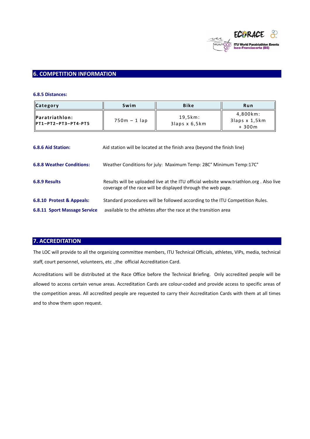

# **6.8.5 Distances:**

| Category                                              | Swim           | Bike                     | Run                                  |
|-------------------------------------------------------|----------------|--------------------------|--------------------------------------|
| <b>IParatriathlon:</b><br><b>IPT1-PT2-PT3-PT4-PT5</b> | $750m - 1$ lap | 19,5km:<br>3laps x 6,5km | 4.800km:<br>3laps x 1,5km<br>$+300m$ |

| 6.8.6 Aid Station:                                               | Aid station will be located at the finish area (beyond the finish line)                                                                                |
|------------------------------------------------------------------|--------------------------------------------------------------------------------------------------------------------------------------------------------|
| <b>6.8.8 Weather Conditions:</b>                                 | Weather Conditions for july: Maximum Temp: 28C° Minimum Temp: 17C°                                                                                     |
| 6.8.9 Results                                                    | Results will be uploaded live at the ITU official website www.triathlon.org. Also live<br>coverage of the race will be displayed through the web page. |
| 6.8.10 Protest & Appeals:<br><b>6.8.11 Sport Massage Service</b> | Standard procedures will be followed according to the ITU Competition Rules.<br>available to the athletes after the race at the transition area        |
|                                                                  |                                                                                                                                                        |

# **7. ACCREDITATION**

The LOC will provide to all the organizing committee members, ITU Technical Officials, athletes, VIPs, media, technical staff, court personnel, volunteers, etc .,the official Accreditation Card.

Accreditations will be distributed at the Race Office before the Technical Briefing. Only accredited people will be allowed to access certain venue areas. Accreditation Cards are colour-coded and provide access to specific areas of the competition areas. All accredited people are requested to carry their Accreditation Cards with them at all times and to show them upon request.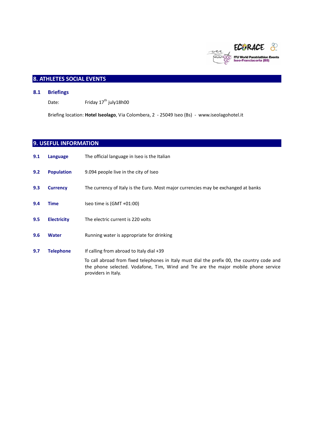

# **8. ATHLETES SOCIAL EVENTS**

#### **8.1 Briefings**

Date: Friday  $17<sup>th</sup>$  july18h00

Briefing location: **Hotel Iseolago**, Via Colombera, 2 - 25049 Iseo (Bs) - www.iseolagohotel.it

# **9. USEFUL INFORMATION**

**9.1 Language** The official language in Iseo is the Italian **9.2 Population** 9.094 people live in the city of Iseo **9.3 Currency** The currency of Italy is the Euro. Most major currencies may be exchanged at banks **9.4 Time Iseo time is (GMT +01:00) 9.5 Electricity** The electric current is 220 volts **9.6 Water Running water is appropriate for drinking 9.7 Telephone** If calling from abroad to Italy dial +39 To call abroad from fixed telephones in Italy must dial the prefix 00, the country code and the phone selected. Vodafone, Tim, Wind and Tre are the major mobile phone service providers in Italy.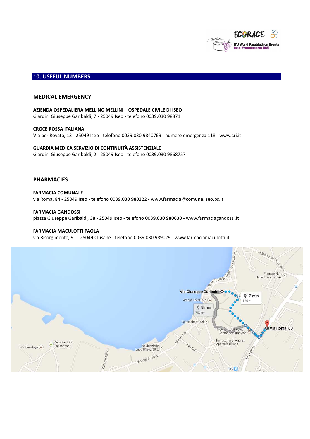

# **10. USEFUL NUMBERS**

## **MEDICAL EMERGENCY**

**AZIENDA OSPEDALIERA MELLINO MELLINI – OSPEDALE CIVILE DI ISEO**  Giardini Giuseppe Garibaldi, 7 - 25049 Iseo - telefono 0039.030 98871

**CROCE ROSSA ITALIANA**  Via per Rovato, 13 - 25049 Iseo - telefono 0039.030.9840769 - numero emergenza 118 - www.cri.it

# **GUARDIA MEDICA SERVIZIO DI CONTINUITÀ ASSISTENZIALE**

Giardini Giuseppe Garibaldi, 2 - 25049 Iseo - telefono 0039.030 9868757

# **PHARMACIES**

**FARMACIA COMUNALE**  via Roma, 84 - 25049 Iseo - telefono 0039.030 980322 - www.farmacia@comune.iseo.bs.it

**FARMACIA GANDOSSI**  piazza Giuseppe Garibaldi, 38 - 25049 Iseo - telefono 0039.030 980630 - www.farmaciagandossi.it

# **FARMACIA MACULOTTI PAOLA**

via Risorgimento, 91 - 25049 Clusane - telefono 0039.030 989029 - www.farmaciamaculotti.it